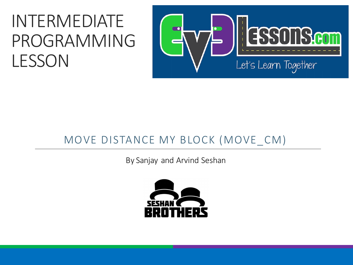#### INTERMEDIATE PROGRAMMING LESSON



#### MOVE DISTANCE MY BLOCK (MOVE\_CM)

By Sanjay and Arvind Seshan

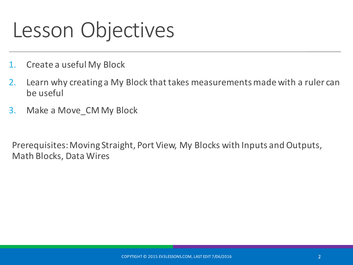#### Lesson Objectives

- 1. Create a useful My Block
- 2. Learn why creating a My Block that takes measurements made with a ruler can be useful
- 3. Make a Move CM My Block

Prerequisites: Moving Straight, Port View, My Blocks with Inputs and Outputs, Math Blocks, Data Wires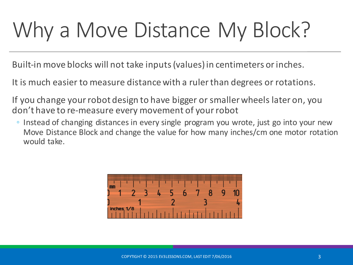# Why a Move Distance My Block?

Built-in move blocks will not take inputs (values) in centimeters or inches.

It is much easier to measure distance with a ruler than degrees or rotations.

If you change your robot design to have bigger or smaller wheels later on, you don't have to re-measure every movement of your robot

• Instead of changing distances in every single program you wrote, just go into your new Move Distance Block and change the value for how many inches/cm one motor rotation would take.

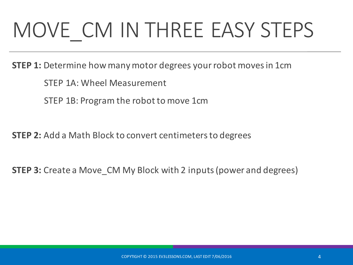# MOVE CM IN THREE EASY STEPS

**STEP 1:** Determine how many motor degrees your robot moves in 1cm

STEP 1A: Wheel Measurement

STEP 1B: Program the robot to move 1cm

**STEP 2:** Add a Math Block to convert centimeters to degrees

**STEP 3:** Create a Move\_CM My Block with 2 inputs (power and degrees)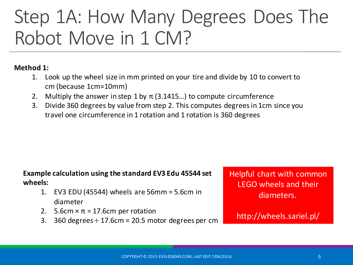#### Step 1A: How Many Degrees Does The Robot Move in 1 CM?

#### **Method 1:**

- 1. Look up the wheel size in mm printed on your tire and divide by 10 to convert to cm (because 1cm=10mm)
- 2. Multiply the answer in step 1 by  $\pi$  (3.1415...) to compute circumference
- 3. Divide 360 degrees by value from step 2. This computes degrees in 1cm since you travel one circumference in 1 rotation and 1 rotation is 360 degrees

#### **Example calculation using the standard EV3 Edu 45544 set wheels:**

- 1. EV3 EDU (45544) wheels are  $56$ mm =  $5.6$ cm in diameter
- 2. 5.6cm  $\times \pi = 17.6$ cm per rotation
- 3. 360 degrees  $\div$  17.6cm = 20.5 motor degrees per cm

Helpful chart with common LEGO wheels and their diameters.

http://wheels.sariel.pl/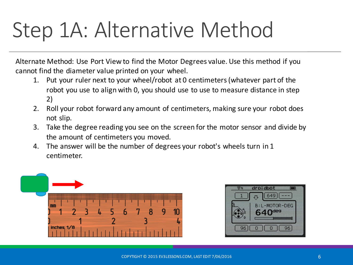### Step 1A: Alternative Method

Alternate Method: Use Port View to find the Motor Degrees value. Use this method if you cannot find the diameter value printed on your wheel.

- 1. Put your ruler next to your wheel/robot at 0 centimeters (whatever part of the robot you use to align with 0, you should use to use to measure distance in step 2)
- 2. Roll your robot forward any amount of centimeters, making sure your robot does not slip.
- 3. Take the degree reading you see on the screen for the motor sensor and divide by the amount of centimeters you moved.
- 4. The answer will be the number of degrees your robot's wheels turn in 1 centimeter.



| droidbot             |  |
|----------------------|--|
|                      |  |
| B: L-MOTOR-DEG       |  |
| $640$ <sub>dea</sub> |  |
|                      |  |
| 96                   |  |
|                      |  |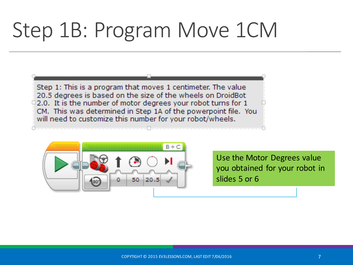### Step 1B: Program Move 1CM

Step 1: This is a program that moves 1 centimeter. The value 20.5 degrees is based on the size of the wheels on DroidBot  $\Box$  2.0. It is the number of motor degrees your robot turns for 1 CM. This was determined in Step 1A of the powerpoint file. You will need to customize this number for your robot/wheels.



Use the Motor Degrees value you obtained for your robot in slides 5 or 6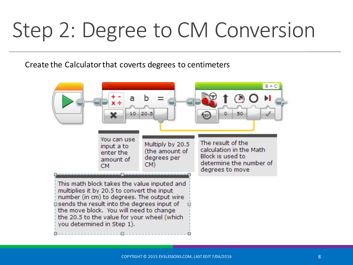### Step 2: Degree to CM Conversion

Create the Calculator that coverts degrees to centimeters

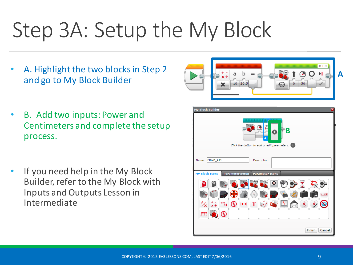# Step 3A: Setup the My Block

A. Highlight the two blocks in Step 2 and go to My Block Builder



- B. Add two inputs: Power and Centimeters and complete the setup process.
- If you need help in the My Block Builder, refer to the My Block with Inputs and Outputs Lesson in Intermediate

| <b>My Block Builder</b><br>$\overline{\mathbf{x}}$                           |
|------------------------------------------------------------------------------|
| Y<br>Cп<br>Β<br>A<br>Click the button to add or edit parameters. $\bigoplus$ |
| Name: Move_CM<br>Description:                                                |
| <b>My Block Icons</b><br><b>Parameter Setup</b><br><b>Parameter Icons</b>    |
|                                                                              |
| 1 2 3                                                                        |
| ۰<br>0,99<br>ຂ<br>∦<br>T<br>$x +$                                            |
| 1010<br>≳<br>0101                                                            |
| Finish<br>Cancel                                                             |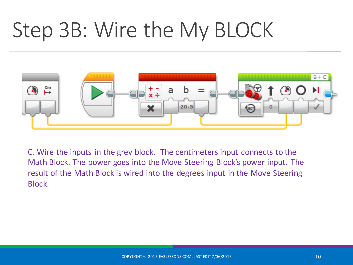# Step 3B: Wire the My BLOCK



C. Wire the inputs in the grey block. The centimeters input connects to the Math Block. The power goes into the Move Steering Block's power input. The result of the Math Block is wired into the degrees input in the Move Steering Block.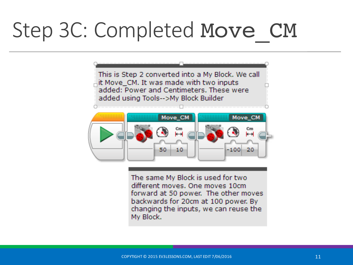## Step 3C: Completed Move CM

This is Step 2 converted into a My Block. We call it Move\_CM. It was made with two inputs added: Power and Centimeters. These were added using Tools-->My Block Builder



The same My Block is used for two different moves. One moves 10cm forward at 50 power. The other moves backwards for 20cm at 100 power. By changing the inputs, we can reuse the My Block.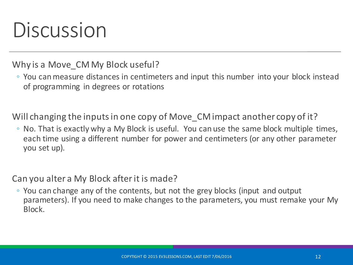#### Discussion

Why is a Move CM My Block useful?

◦ You can measure distances in centimeters and input this number into your block instead of programming in degrees or rotations

Will changing the inputs in one copy of Move CM impact another copy of it?

 $\degree$  No. That is exactly why a My Block is useful. You can use the same block multiple times, each time using a different number for power and centimeters (or any other parameter you set up).

Can you alter a My Block after it is made?

◦ You can change any of the contents, but not the grey blocks (input and output parameters). If you need to make changes to the parameters, you must remake your My Block.